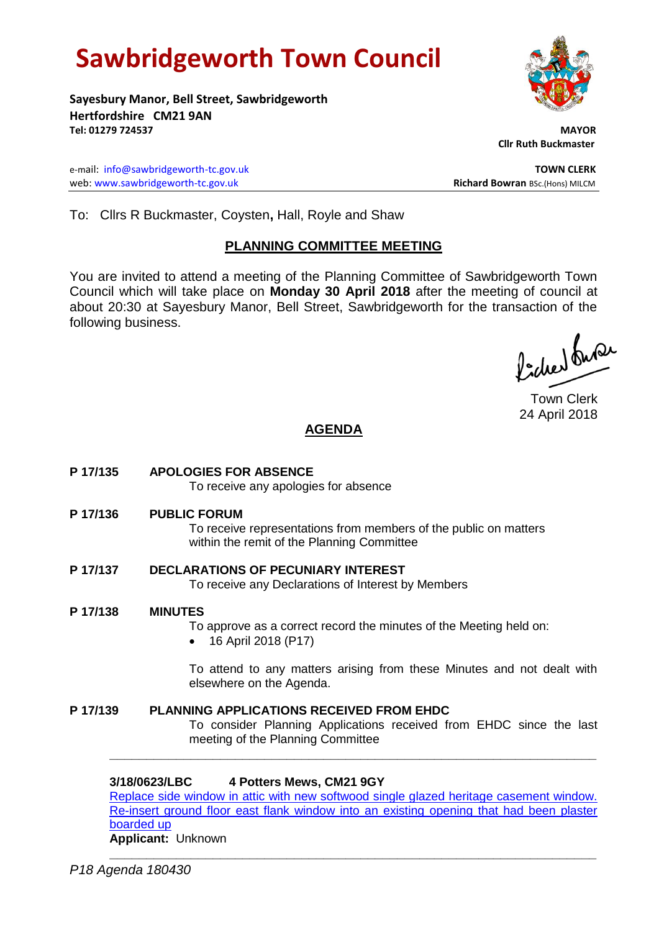# **Sawbridgeworth Town Council**

**Sayesbury Manor, Bell Street, Sawbridgeworth Hertfordshire CM21 9AN Tel: 01279 724537 MAYOR**

e-mail: [info@sawbridgeworth-tc.gov.uk](mailto:info@sawbridgeworth-tc.gov.uk) **TOWN CLERK** web: www.sawbridgeworth-tc.gov.uk **Richard Bowran** BSc.(Hons) MILCM

 **Cllr Ruth Buckmaster** 

To: Cllrs R Buckmaster, Coysten**,** Hall, Royle and Shaw

# **PLANNING COMMITTEE MEETING**

You are invited to attend a meeting of the Planning Committee of Sawbridgeworth Town Council which will take place on **Monday 30 April 2018** after the meeting of council at about 20:30 at Sayesbury Manor, Bell Street, Sawbridgeworth for the transaction of the following business.

fidee buse

Town Clerk 24 April 2018

# **AGENDA**

**P 17/135 APOLOGIES FOR ABSENCE**

To receive any apologies for absence

**P 17/136 PUBLIC FORUM**

To receive representations from members of the public on matters within the remit of the Planning Committee

- **P 17/137 DECLARATIONS OF PECUNIARY INTEREST** To receive any Declarations of Interest by Members
- **P 17/138 MINUTES**

To approve as a correct record the minutes of the Meeting held on:

16 April 2018 (P17)

To attend to any matters arising from these Minutes and not dealt with elsewhere on the Agenda.

**P 17/139 PLANNING APPLICATIONS RECEIVED FROM EHDC** To consider Planning Applications received from EHDC since the last meeting of the Planning Committee

#### **3/18/0623/LBC 4 Potters Mews, CM21 9GY**

[Replace side window in attic with new softwood single glazed heritage casement window.](https://publicaccess.eastherts.gov.uk/online-applications/applicationDetails.do?activeTab=documents&keyVal=P5VQ99GLL0M00)  [Re-insert ground floor east flank window into an existing opening that had been plaster](https://publicaccess.eastherts.gov.uk/online-applications/applicationDetails.do?activeTab=documents&keyVal=P5VQ99GLL0M00)  [boarded up](https://publicaccess.eastherts.gov.uk/online-applications/applicationDetails.do?activeTab=documents&keyVal=P5VQ99GLL0M00)

**\_\_\_\_\_\_\_\_\_\_\_\_\_\_\_\_\_\_\_\_\_\_\_\_\_\_\_\_\_\_\_\_\_\_\_\_\_\_\_\_\_\_\_\_\_\_\_\_\_\_\_\_\_\_\_\_\_\_\_\_\_\_\_\_\_\_**

**Applicant:** Unknown **\_\_\_\_\_\_\_\_\_\_\_\_\_\_\_\_\_\_\_\_\_\_\_\_\_\_\_\_\_\_\_\_\_\_\_\_\_\_\_\_\_\_\_\_\_\_\_\_\_\_\_\_\_\_\_\_\_\_\_\_\_\_\_\_\_\_**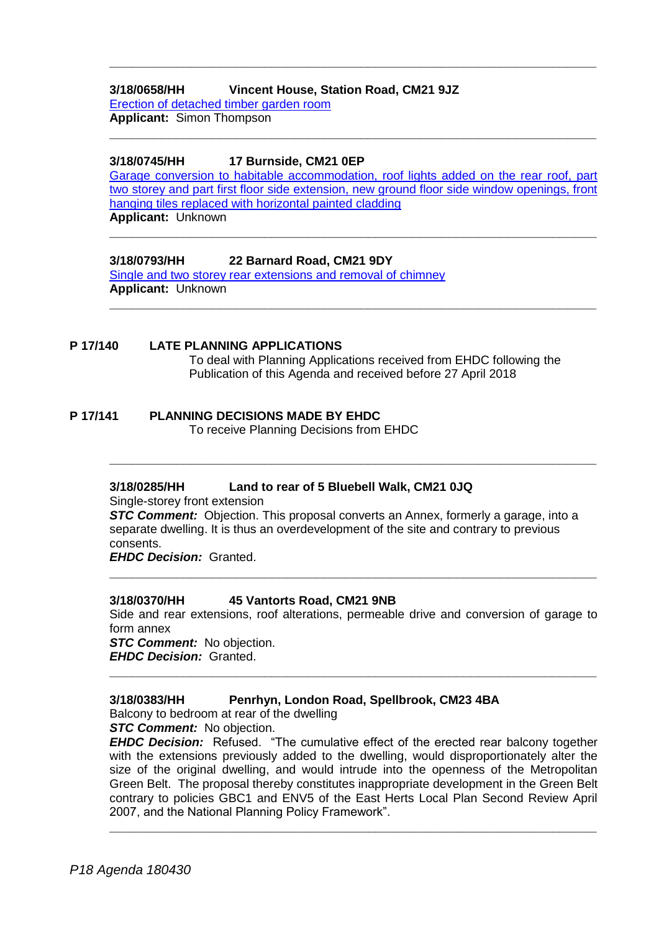#### **3/18/0658/HH Vincent House, Station Road, CM21 9JZ**

[Erection of detached timber garden room](https://publicaccess.eastherts.gov.uk/online-applications/applicationDetails.do?activeTab=documents&keyVal=P601V4GLL2J00)  **Applicant:** Simon Thompson

#### **3/18/0745/HH 17 Burnside, CM21 0EP**

[Garage conversion to habitable accommodation, roof lights added on the rear roof, part](https://publicaccess.eastherts.gov.uk/online-applications/applicationDetails.do?activeTab=documents&keyVal=P6LVYZGLL8100)  [two storey and part first floor side extension, new ground floor side window openings, front](https://publicaccess.eastherts.gov.uk/online-applications/applicationDetails.do?activeTab=documents&keyVal=P6LVYZGLL8100)  [hanging tiles replaced with horizontal painted cladding](https://publicaccess.eastherts.gov.uk/online-applications/applicationDetails.do?activeTab=documents&keyVal=P6LVYZGLL8100) **Applicant:** Unknown

**\_\_\_\_\_\_\_\_\_\_\_\_\_\_\_\_\_\_\_\_\_\_\_\_\_\_\_\_\_\_\_\_\_\_\_\_\_\_\_\_\_\_\_\_\_\_\_\_\_\_\_\_\_\_\_\_\_\_\_\_\_\_\_\_\_\_**

**\_\_\_\_\_\_\_\_\_\_\_\_\_\_\_\_\_\_\_\_\_\_\_\_\_\_\_\_\_\_\_\_\_\_\_\_\_\_\_\_\_\_\_\_\_\_\_\_\_\_\_\_\_\_\_\_\_\_\_\_\_\_\_\_\_\_**

**\_\_\_\_\_\_\_\_\_\_\_\_\_\_\_\_\_\_\_\_\_\_\_\_\_\_\_\_\_\_\_\_\_\_\_\_\_\_\_\_\_\_\_\_\_\_\_\_\_\_\_\_\_\_\_\_\_\_\_\_\_\_\_\_\_\_**

**\_\_\_\_\_\_\_\_\_\_\_\_\_\_\_\_\_\_\_\_\_\_\_\_\_\_\_\_\_\_\_\_\_\_\_\_\_\_\_\_\_\_\_\_\_\_\_\_\_\_\_\_\_\_\_\_\_\_\_\_\_\_\_\_\_\_**

# **3/18/0793/HH 22 Barnard Road, CM21 9DY**

[Single and two storey rear extensions and removal of chimney](https://publicaccess.eastherts.gov.uk/online-applications/applicationDetails.do?activeTab=documents&keyVal=P6WOTWGLLB800) **Applicant:** Unknown

#### **P 17/140 LATE PLANNING APPLICATIONS**

To deal with Planning Applications received from EHDC following the Publication of this Agenda and received before 27 April 2018

#### **P 17/141 PLANNING DECISIONS MADE BY EHDC**

To receive Planning Decisions from EHDC

#### **3/18/0285/HH Land to rear of 5 Bluebell Walk, CM21 0JQ**

Single-storey front extension

**STC Comment:** Objection. This proposal converts an Annex, formerly a garage, into a separate dwelling. It is thus an overdevelopment of the site and contrary to previous consents.

**\_\_\_\_\_\_\_\_\_\_\_\_\_\_\_\_\_\_\_\_\_\_\_\_\_\_\_\_\_\_\_\_\_\_\_\_\_\_\_\_\_\_\_\_\_\_\_\_\_\_\_\_\_\_\_\_\_\_\_\_\_\_\_\_\_\_**

*EHDC Decision:* Granted.

#### **3/18/0370/HH 45 Vantorts Road, CM21 9NB**

Side and rear extensions, roof alterations, permeable drive and conversion of garage to form annex

**\_\_\_\_\_\_\_\_\_\_\_\_\_\_\_\_\_\_\_\_\_\_\_\_\_\_\_\_\_\_\_\_\_\_\_\_\_\_\_\_\_\_\_\_\_\_\_\_\_\_\_\_\_\_\_\_\_\_\_\_\_\_\_\_\_\_**

**\_\_\_\_\_\_\_\_\_\_\_\_\_\_\_\_\_\_\_\_\_\_\_\_\_\_\_\_\_\_\_\_\_\_\_\_\_\_\_\_\_\_\_\_\_\_\_\_\_\_\_\_\_\_\_\_\_\_\_\_\_\_\_\_\_\_**

*STC Comment:* No objection. *EHDC Decision:* Granted.

#### **3/18/0383/HH Penrhyn, London Road, Spellbrook, CM23 4BA**

Balcony to bedroom at rear of the dwelling

*STC Comment:* No objection.

*EHDC Decision:* Refused. "The cumulative effect of the erected rear balcony together with the extensions previously added to the dwelling, would disproportionately alter the size of the original dwelling, and would intrude into the openness of the Metropolitan Green Belt. The proposal thereby constitutes inappropriate development in the Green Belt contrary to policies GBC1 and ENV5 of the East Herts Local Plan Second Review April 2007, and the National Planning Policy Framework".

**\_\_\_\_\_\_\_\_\_\_\_\_\_\_\_\_\_\_\_\_\_\_\_\_\_\_\_\_\_\_\_\_\_\_\_\_\_\_\_\_\_\_\_\_\_\_\_\_\_\_\_\_\_\_\_\_\_\_\_\_\_\_\_\_\_\_**